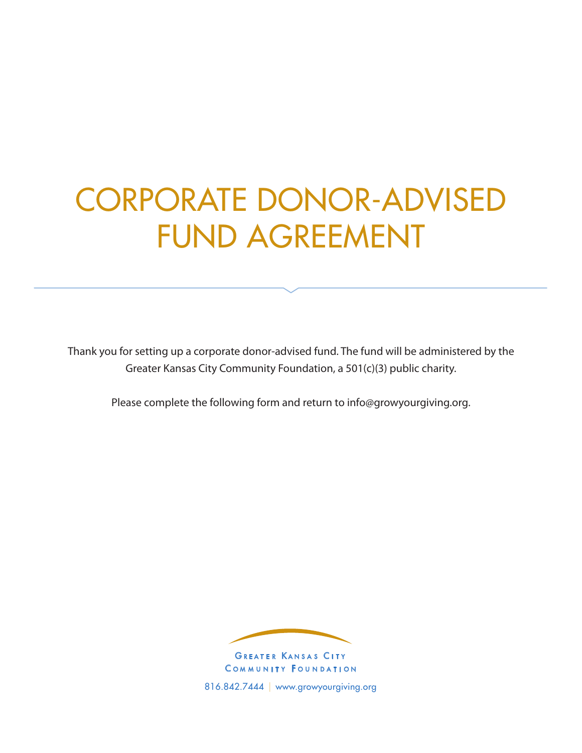# CORPORATE DONOR-ADVISED FUND AGREEMENT

Thank you for setting up a corporate donor-advised fund. The fund will be administered by the Greater Kansas City Community Foundation, a 501(c)(3) public charity.

Please complete the following form and return to info@growyourgiving.org.



COMMUNITY FOUNDATION 816.842.7444 | www.growyourgiving.org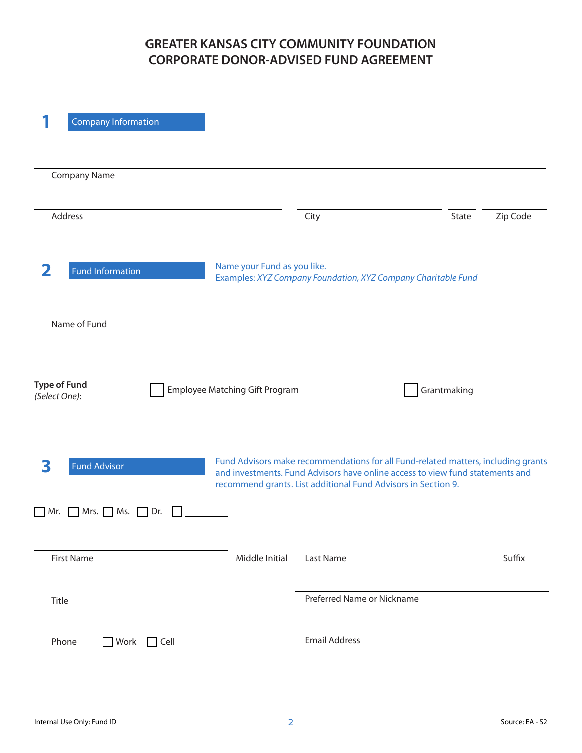## **GREATER KANSAS CITY COMMUNITY FOUNDATION CORPORATE DONOR-ADVISED FUND AGREEMENT**

| <b>Company Information</b>            |                                |                                                                                                                                                                                                                                     |                   |
|---------------------------------------|--------------------------------|-------------------------------------------------------------------------------------------------------------------------------------------------------------------------------------------------------------------------------------|-------------------|
| <b>Company Name</b>                   |                                |                                                                                                                                                                                                                                     |                   |
| Address                               |                                | City                                                                                                                                                                                                                                | State<br>Zip Code |
| 2<br><b>Fund Information</b>          | Name your Fund as you like.    | Examples: XYZ Company Foundation, XYZ Company Charitable Fund                                                                                                                                                                       |                   |
| Name of Fund                          |                                |                                                                                                                                                                                                                                     |                   |
| <b>Type of Fund</b><br>(Select One):  | Employee Matching Gift Program |                                                                                                                                                                                                                                     | Grantmaking       |
| <b>Fund Advisor</b><br>3              |                                | Fund Advisors make recommendations for all Fund-related matters, including grants<br>and investments. Fund Advisors have online access to view fund statements and<br>recommend grants. List additional Fund Advisors in Section 9. |                   |
| Mrs. Ms.<br>$\Box$ Dr.<br>  Mr.       |                                |                                                                                                                                                                                                                                     |                   |
| <b>First Name</b>                     | Middle Initial                 | Last Name                                                                                                                                                                                                                           | Suffix            |
| Title                                 |                                | Preferred Name or Nickname                                                                                                                                                                                                          |                   |
| <b>■</b> Work<br>$\Box$ Cell<br>Phone |                                | <b>Email Address</b>                                                                                                                                                                                                                |                   |
|                                       |                                |                                                                                                                                                                                                                                     |                   |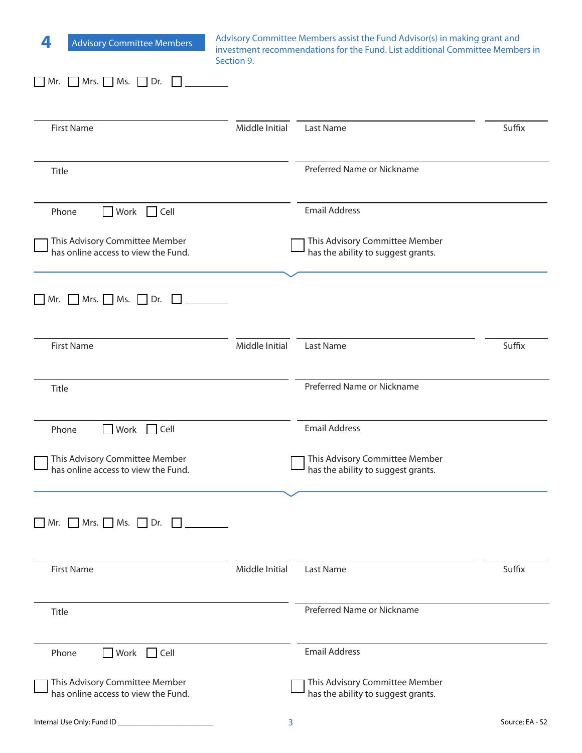| Advisory Committee Members assist the Fund Advisor(s) in making grant and<br>4<br><b>Advisory Committee Members</b><br>investment recommendations for the Fund. List additional Committee Members in<br>Section 9. |                |                                                                      |        |
|--------------------------------------------------------------------------------------------------------------------------------------------------------------------------------------------------------------------|----------------|----------------------------------------------------------------------|--------|
| $\Box$ Mr. $\Box$ Mrs. $\Box$ Ms. $\Box$ Dr.                                                                                                                                                                       |                |                                                                      |        |
| <b>First Name</b>                                                                                                                                                                                                  | Middle Initial | Last Name                                                            | Suffix |
| Title                                                                                                                                                                                                              |                | Preferred Name or Nickname                                           |        |
| Work Cell<br>Phone                                                                                                                                                                                                 |                | <b>Email Address</b>                                                 |        |
| This Advisory Committee Member<br>has online access to view the Fund.                                                                                                                                              |                | This Advisory Committee Member<br>has the ability to suggest grants. |        |
| $Mrs.$ Ms. $Dr.$<br>$Mr$ .<br>$\mathbf{1}$                                                                                                                                                                         |                |                                                                      |        |
| <b>First Name</b>                                                                                                                                                                                                  | Middle Initial | Last Name                                                            | Suffix |
| Title                                                                                                                                                                                                              |                | Preferred Name or Nickname                                           |        |
| Work Cell<br>Phone                                                                                                                                                                                                 |                | <b>Email Address</b>                                                 |        |
| This Advisory Committee Member<br>has online access to view the Fund.                                                                                                                                              |                | This Advisory Committee Member<br>has the ability to suggest grants. |        |
| $\Box$ Mr. $\Box$ Mrs. $\Box$ Ms. $\Box$ Dr. $\Box$                                                                                                                                                                |                |                                                                      |        |
| <b>First Name</b>                                                                                                                                                                                                  | Middle Initial | <b>Last Name</b>                                                     | Suffix |
| Title                                                                                                                                                                                                              |                | Preferred Name or Nickname                                           |        |
| Work Cell<br>Phone                                                                                                                                                                                                 |                | <b>Email Address</b>                                                 |        |
| This Advisory Committee Member<br>has online access to view the Fund.                                                                                                                                              |                | This Advisory Committee Member<br>has the ability to suggest grants. |        |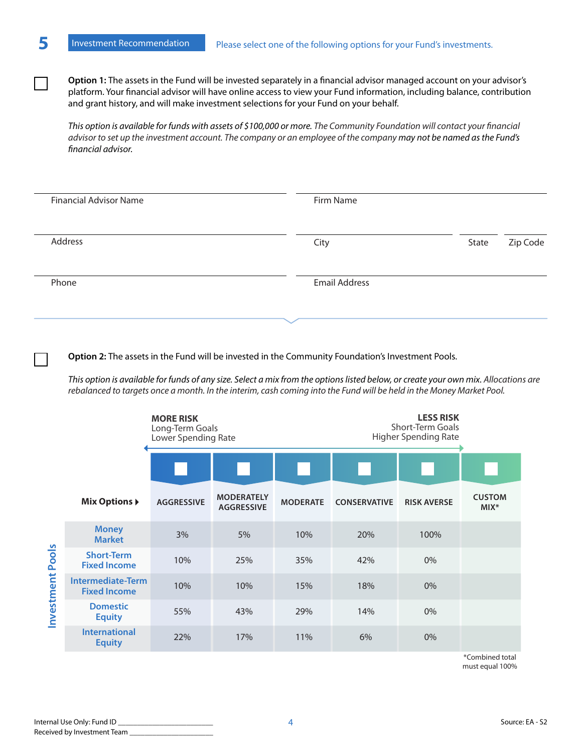**Option 1:** The assets in the Fund will be invested separately in a financial advisor managed account on your advisor's platform. Your financial advisor will have online access to view your Fund information, including balance, contribution and grant history, and will make investment selections for your Fund on your behalf.

*This option is available for funds with assets of \$100,000 or more. The Community Foundation will contact your financial advisor to set up the investment account. The company or an employee of the company may not be named as the Fund's financial advisor.*

| <b>Financial Advisor Name</b> | Firm Name            |       |          |
|-------------------------------|----------------------|-------|----------|
| Address                       | City                 | State | Zip Code |
| Phone                         | <b>Email Address</b> |       |          |
|                               |                      |       |          |

**Option 2:** The assets in the Fund will be invested in the Community Foundation's Investment Pools.

*This option is available for funds of any size. Select a mix from the options listed below, or create your own mix. Allocations are rebalanced to targets once a month. In the interim, cash coming into the Fund will be held in the Money Market Pool.*

|                            |                                                 | <b>MORE RISK</b><br>Long-Term Goals<br>Lower Spending Rate |                                        |                 |                     | <b>LESS RISK</b><br><b>Short-Term Goals</b><br><b>Higher Spending Rate</b> |                          |
|----------------------------|-------------------------------------------------|------------------------------------------------------------|----------------------------------------|-----------------|---------------------|----------------------------------------------------------------------------|--------------------------|
|                            |                                                 |                                                            |                                        |                 |                     |                                                                            |                          |
|                            | <b>Mix Options ▶</b>                            | <b>AGGRESSIVE</b>                                          | <b>MODERATELY</b><br><b>AGGRESSIVE</b> | <b>MODERATE</b> | <b>CONSERVATIVE</b> | <b>RISK AVERSE</b>                                                         | <b>CUSTOM</b><br>$MIX^*$ |
| <b>Pools</b><br>Investment | <b>Money</b><br><b>Market</b>                   | 3%                                                         | 5%                                     | 10%             | 20%                 | 100%                                                                       |                          |
|                            | <b>Short-Term</b><br><b>Fixed Income</b>        | 10%                                                        | 25%                                    | 35%             | 42%                 | $0\%$                                                                      |                          |
|                            | <b>Intermediate-Term</b><br><b>Fixed Income</b> | 10%                                                        | 10%                                    | 15%             | 18%                 | 0%                                                                         |                          |
|                            | <b>Domestic</b><br><b>Equity</b>                | 55%                                                        | 43%                                    | 29%             | 14%                 | $0\%$                                                                      |                          |
|                            | <b>International</b><br><b>Equity</b>           | 22%                                                        | 17%                                    | 11%             | 6%                  | 0%                                                                         |                          |

\*Combined total must equal 100%

 $\mathcal{L}$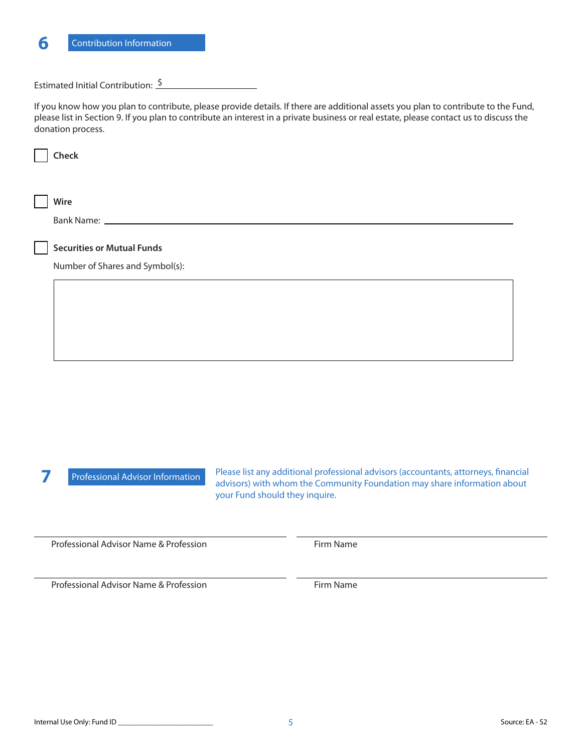

### Estimated Initial Contribution:  $\frac{\$}{\$}$

If you know how you plan to contribute, please provide details. If there are additional assets you plan to contribute to the Fund, please list in Section 9. If you plan to contribute an interest in a private business or real estate, please contact us to discuss the donation process.

| Check                             |
|-----------------------------------|
|                                   |
|                                   |
| Wire                              |
|                                   |
|                                   |
| <b>Securities or Mutual Funds</b> |
| Number of Shares and Symbol(s):   |
|                                   |
|                                   |
|                                   |
|                                   |
|                                   |
|                                   |
|                                   |
|                                   |
|                                   |
|                                   |
|                                   |

**7** Professional Advisor Information

Please list any additional professional advisors (accountants, attorneys, financial advisors) with whom the Community Foundation may share information about your Fund should they inquire.

Professional Advisor Name & Profession

Firm Name

Professional Advisor Name & Profession Firm Name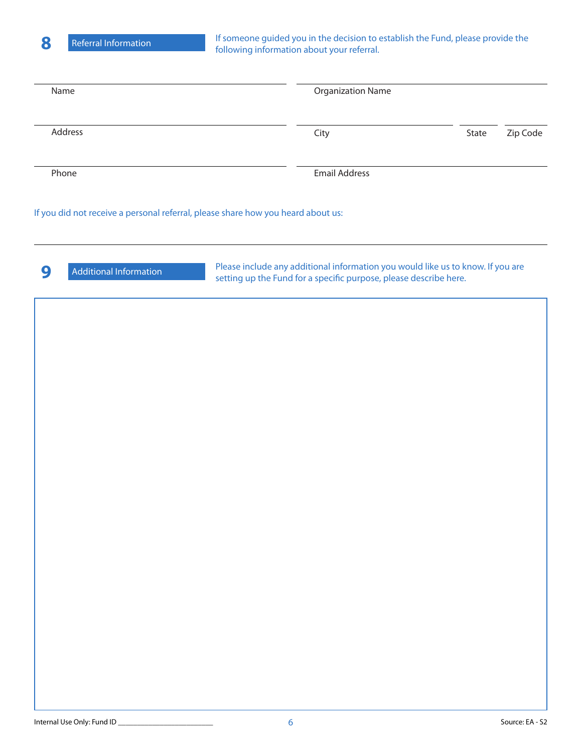If someone guided you in the decision to establish the Fund, please provide the following information about your referral.

| Name                                                                             | <b>Organization Name</b> |       |          |
|----------------------------------------------------------------------------------|--------------------------|-------|----------|
| Address                                                                          | City                     | State | Zip Code |
| Phone                                                                            | <b>Email Address</b>     |       |          |
| If you did not receive a personal referral, please share how you heard about us: |                          |       |          |

**9** Additional Information Please include any additional information you would like us to know. If you are setting up the Fund for a specific purpose, please describe here.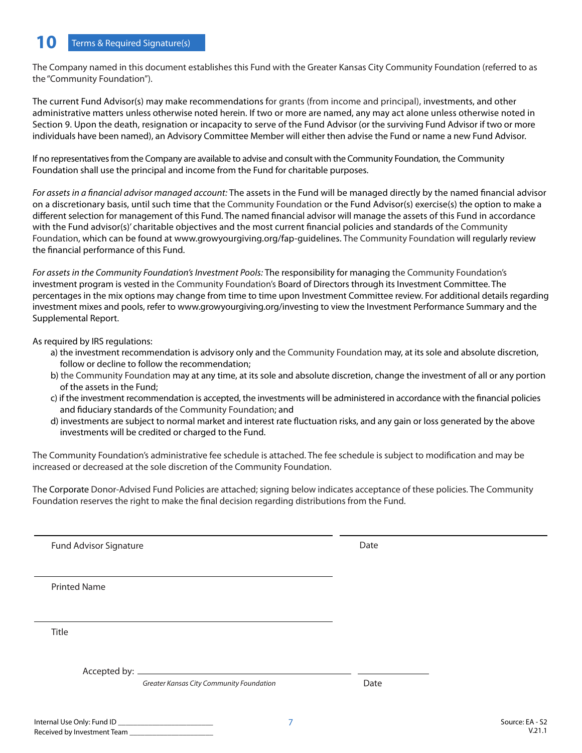The Company named in this document establishes this Fund with the Greater Kansas City Community Foundation (referred to as the "Community Foundation").

The current Fund Advisor(s) may make recommendations for grants (from income and principal), investments, and other administrative matters unless otherwise noted herein. If two or more are named, any may act alone unless otherwise noted in Section 9. Upon the death, resignation or incapacity to serve of the Fund Advisor (or the surviving Fund Advisor if two or more individuals have been named), an Advisory Committee Member will either then advise the Fund or name a new Fund Advisor.

If no representatives from the Company are available to advise and consult with the Community Foundation, the Community Foundation shall use the principal and income from the Fund for charitable purposes.

*For assets in a financial advisor managed account:* The assets in the Fund will be managed directly by the named financial advisor on a discretionary basis, until such time that the Community Foundation or the Fund Advisor(s) exercise(s) the option to make a different selection for management of this Fund. The named financial advisor will manage the assets of this Fund in accordance with the Fund advisor(s)' charitable objectives and the most current financial policies and standards of the Community Foundation, which can be found at www.growyourgiving.org/fap-guidelines. The Community Foundation will regularly review the financial performance of this Fund.

*For assets in the Community Foundation's Investment Pools:* The responsibility for managing the Community Foundation's investment program is vested in the Community Foundation's Board of Directors through its Investment Committee. The percentages in the mix options may change from time to time upon Investment Committee review. For additional details regarding investment mixes and pools, refer to www.growyourgiving.org/investing to view the Investment Performance Summary and the Supplemental Report.

As required by IRS regulations:

- a) the investment recommendation is advisory only and the Community Foundation may, at its sole and absolute discretion, follow or decline to follow the recommendation;
- b) the Community Foundation may at any time, at its sole and absolute discretion, change the investment of all or any portion of the assets in the Fund;
- c) if the investment recommendation is accepted, the investments will be administered in accordance with the financial policies and fiduciary standards of the Community Foundation; and
- d) investments are subject to normal market and interest rate fluctuation risks, and any gain or loss generated by the above investments will be credited or charged to the Fund.

The Community Foundation's administrative fee schedule is attached. The fee schedule is subject to modification and may be increased or decreased at the sole discretion of the Community Foundation.

The Corporate Donor-Advised Fund Policies are attached; signing below indicates acceptance of these policies. The Community Foundation reserves the right to make the final decision regarding distributions from the Fund.

Fund Advisor Signature **Date** Date **Date** 

Printed Name

Title

Accepted by:

*Greater Kansas City Community Foundation*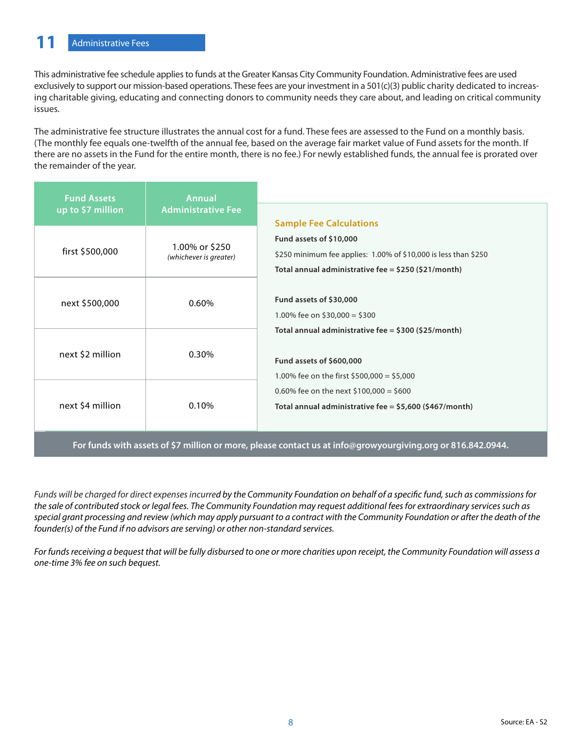This administrative fee schedule applies to funds at the Greater Kansas City Community Foundation. Administrative fees are used exclusively to support our mission-based operations. These fees are your investment in a 501(c)(3) public charity dedicated to increasing charitable giving, educating and connecting donors to community needs they care about, and leading on critical community issues.

The administrative fee structure illustrates the annual cost for a fund. These fees are assessed to the Fund on a monthly basis. (The monthly fee equals one-twelfth of the annual fee, based on the average fair market value of Fund assets for the month. If there are no assets in the Fund for the entire month, there is no fee.) For newly established funds, the annual fee is prorated over the remainder of the year.

| <b>Fund Assets</b><br>up to \$7 million | <b>Annual</b><br><b>Administrative Fee</b> | <b>Sample Fee Calculations</b>                                                                                                                         |  |
|-----------------------------------------|--------------------------------------------|--------------------------------------------------------------------------------------------------------------------------------------------------------|--|
| first \$500,000                         | 1.00% or \$250<br>(whichever is greater)   | Fund assets of \$10,000<br>\$250 minimum fee applies: 1.00% of \$10,000 is less than \$250<br>Total annual administrative fee = $$250$ ( $$21/m$ onth) |  |
| next \$500,000                          | 0.60%                                      | Fund assets of \$30,000<br>1.00% fee on \$30,000 = \$300                                                                                               |  |
| next \$2 million                        | 0.30%                                      | Total annual administrative fee = $$300 ($25/month)$<br>Fund assets of \$600,000<br>1.00% fee on the first \$500,000 = \$5,000                         |  |
| next \$4 million                        | 0.10%                                      | 0.60% fee on the next \$100,000 = \$600<br>Total annual administrative fee = $$5,600$ (\$467/month)                                                    |  |

**For funds with assets of \$7 million or more, please contact us at info@growyourgiving.org or 816.842.0944.**

*Funds will be charged for direct expenses incurred by the Community Foundation on behalf of a specific fund, such as commissions for the sale of contributed stock or legal fees. The Community Foundation may request additional fees for extraordinary services such as special grant processing and review (which may apply pursuant to a contract with the Community Foundation or after the death of the founder(s) of the Fund if no advisors are serving) or other non-standard services.*

*For funds receiving a bequest that will be fully disbursed to one or more charities upon receipt, the Community Foundation will assess a one-time 3% fee on such bequest.*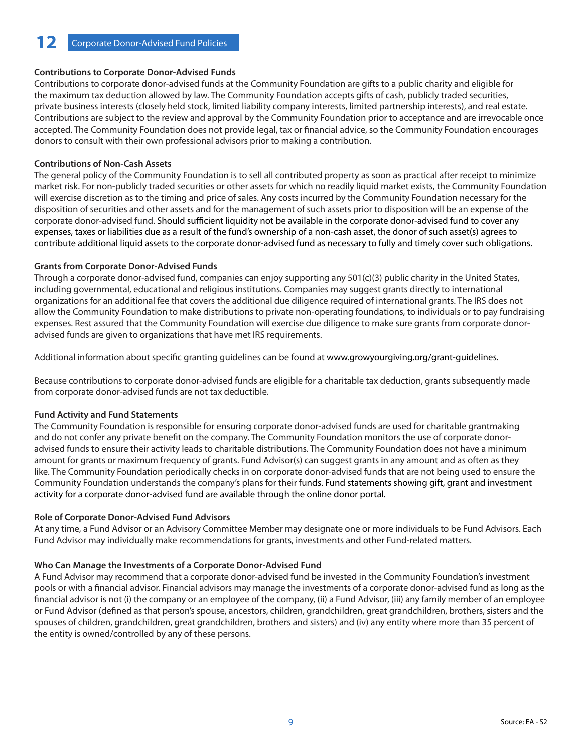#### **Contributions to Corporate Donor-Advised Funds**

Contributions to corporate donor-advised funds at the Community Foundation are gifts to a public charity and eligible for the maximum tax deduction allowed by law. The Community Foundation accepts gifts of cash, publicly traded securities, private business interests (closely held stock, limited liability company interests, limited partnership interests), and real estate. Contributions are subject to the review and approval by the Community Foundation prior to acceptance and are irrevocable once accepted. The Community Foundation does not provide legal, tax or financial advice, so the Community Foundation encourages donors to consult with their own professional advisors prior to making a contribution.

#### **Contributions of Non-Cash Assets**

The general policy of the Community Foundation is to sell all contributed property as soon as practical after receipt to minimize market risk. For non-publicly traded securities or other assets for which no readily liquid market exists, the Community Foundation will exercise discretion as to the timing and price of sales. Any costs incurred by the Community Foundation necessary for the disposition of securities and other assets and for the management of such assets prior to disposition will be an expense of the corporate donor-advised fund. Should sufficient liquidity not be available in the corporate donor-advised fund to cover any expenses, taxes or liabilities due as a result of the fund's ownership of a non-cash asset, the donor of such asset(s) agrees to contribute additional liquid assets to the corporate donor-advised fund as necessary to fully and timely cover such obligations.

#### **Grants from Corporate Donor-Advised Funds**

Through a corporate donor-advised fund, companies can enjoy supporting any 501(c)(3) public charity in the United States, including governmental, educational and religious institutions. Companies may suggest grants directly to international organizations for an additional fee that covers the additional due diligence required of international grants. The IRS does not allow the Community Foundation to make distributions to private non-operating foundations, to individuals or to pay fundraising expenses. Rest assured that the Community Foundation will exercise due diligence to make sure grants from corporate donoradvised funds are given to organizations that have met IRS requirements.

Additional information about specific granting guidelines can be found at www.growyourgiving.org/grant-guidelines.

Because contributions to corporate donor-advised funds are eligible for a charitable tax deduction, grants subsequently made from corporate donor-advised funds are not tax deductible.

#### **Fund Activity and Fund Statements**

The Community Foundation is responsible for ensuring corporate donor-advised funds are used for charitable grantmaking and do not confer any private benefit on the company. The Community Foundation monitors the use of corporate donoradvised funds to ensure their activity leads to charitable distributions. The Community Foundation does not have a minimum amount for grants or maximum frequency of grants. Fund Advisor(s) can suggest grants in any amount and as often as they like. The Community Foundation periodically checks in on corporate donor-advised funds that are not being used to ensure the Community Foundation understands the company's plans for their funds. Fund statements showing gift, grant and investment activity for a corporate donor-advised fund are available through the online donor portal.

#### **Role of Corporate Donor-Advised Fund Advisors**

At any time, a Fund Advisor or an Advisory Committee Member may designate one or more individuals to be Fund Advisors. Each Fund Advisor may individually make recommendations for grants, investments and other Fund-related matters.

#### **Who Can Manage the Investments of a Corporate Donor-Advised Fund**

A Fund Advisor may recommend that a corporate donor-advised fund be invested in the Community Foundation's investment pools or with a financial advisor. Financial advisors may manage the investments of a corporate donor-advised fund as long as the financial advisor is not (i) the company or an employee of the company, (ii) a Fund Advisor, (iii) any family member of an employee or Fund Advisor (defined as that person's spouse, ancestors, children, grandchildren, great grandchildren, brothers, sisters and the spouses of children, grandchildren, great grandchildren, brothers and sisters) and (iv) any entity where more than 35 percent of the entity is owned/controlled by any of these persons.